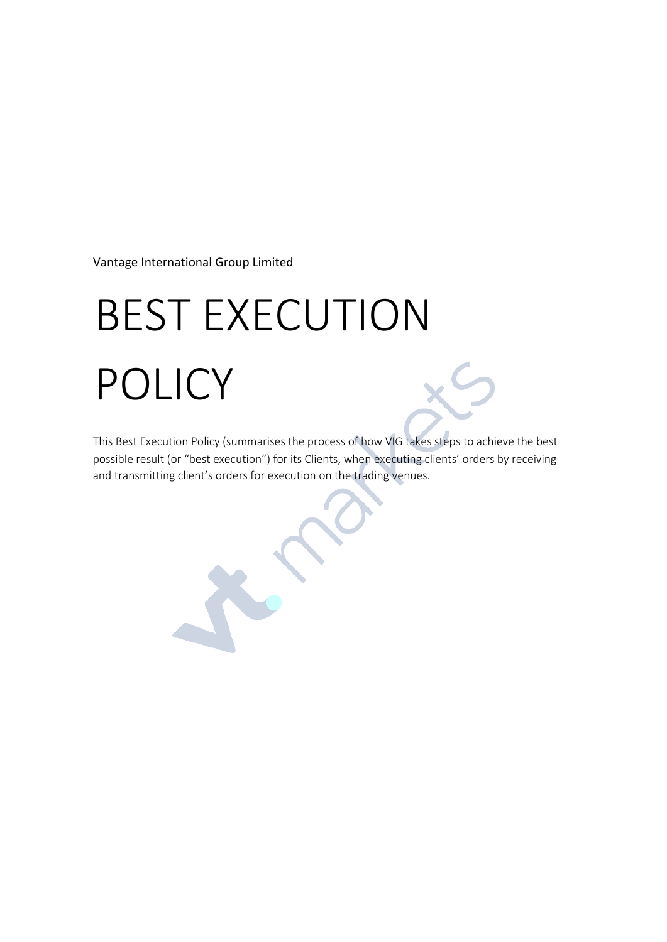Vantage International Group Limited

# BEST EXECUTION POLICY

This Best Execution Policy (summarises the process of how VIG takes steps to achieve the best possible result (or "best execution") for its Clients, when executing clients' orders by receiving and transmitting client's orders for execution on the trading venues.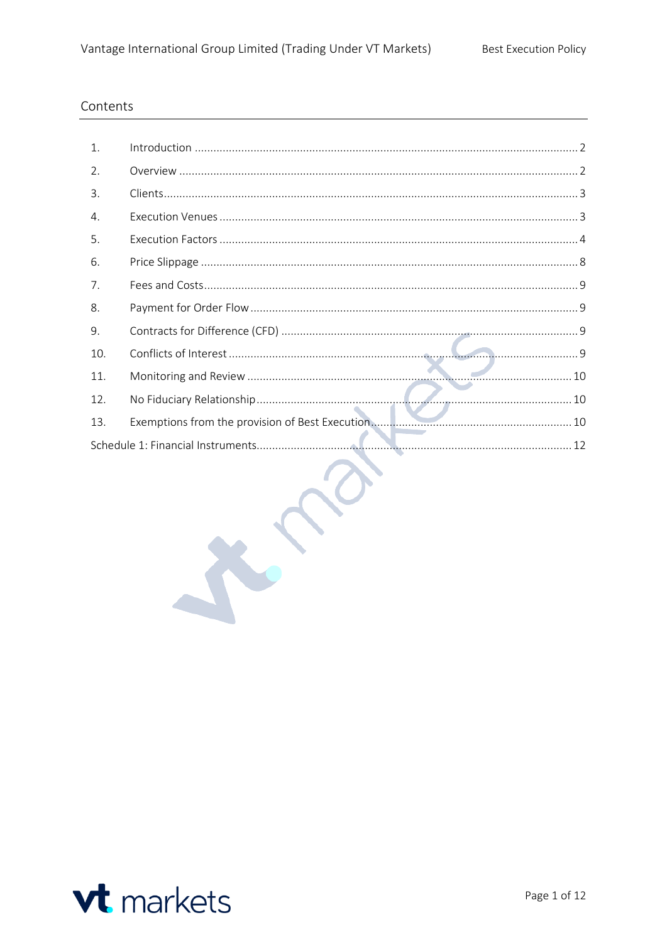# Contents

| 1.  |  |
|-----|--|
| 2.  |  |
| 3.  |  |
| 4.  |  |
| 5.  |  |
| 6.  |  |
| 7.  |  |
| 8.  |  |
| 9.  |  |
| 10. |  |
| 11. |  |
| 12. |  |
| 13. |  |
|     |  |

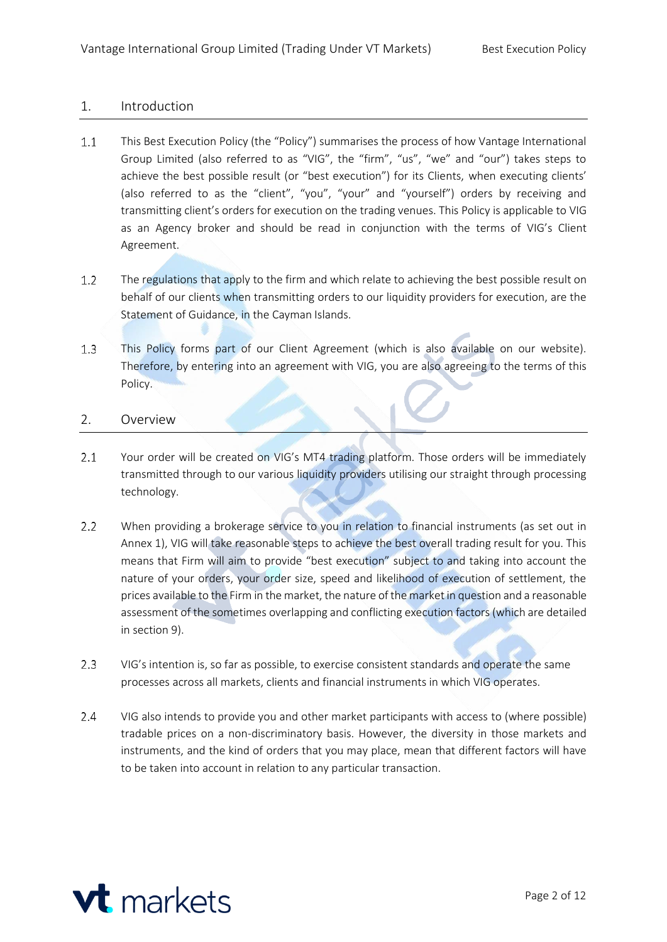# <span id="page-2-0"></span>1. Introduction

- $1.1$ This Best Execution Policy (the "Policy") summarises the process of how Vantage International Group Limited (also referred to as "VIG", the "firm", "us", "we" and "our") takes steps to achieve the best possible result (or "best execution") for its Clients, when executing clients' (also referred to as the "client", "you", "your" and "yourself") orders by receiving and transmitting client's orders for execution on the trading venues. This Policy is applicable to VIG as an Agency broker and should be read in conjunction with the terms of VIG's Client Agreement.
- $1.2$ The regulations that apply to the firm and which relate to achieving the best possible result on behalf of our clients when transmitting orders to our liquidity providers for execution, are the Statement of Guidance, in the Cayman Islands.
- This Policy forms part of our Client Agreement (which is also available on our website).  $1.3$ Therefore, by entering into an agreement with VIG, you are also agreeing to the terms of this Policy.

# <span id="page-2-1"></span>2. Overview

- $2.1$ Your order will be created on VIG's MT4 trading platform. Those orders will be immediately transmitted through to our various liquidity providers utilising our straight through processing technology.
- $2.2$ When providing a brokerage service to you in relation to financial instruments (as set out in Annex 1), VIG will take reasonable steps to achieve the best overall trading result for you. This means that Firm will aim to provide "best execution" subject to and taking into account the nature of your orders, your order size, speed and likelihood of execution of settlement, the prices available to the Firm in the market, the nature of the market in question and a reasonable assessment of the sometimes overlapping and conflicting execution factors (which are detailed in section 9).
- $2.3$ VIG's intention is, so far as possible, to exercise consistent standards and operate the same processes across all markets, clients and financial instruments in which VIG operates.
- $2.4$ VIG also intends to provide you and other market participants with access to (where possible) tradable prices on a non-discriminatory basis. However, the diversity in those markets and instruments, and the kind of orders that you may place, mean that different factors will have to be taken into account in relation to any particular transaction.

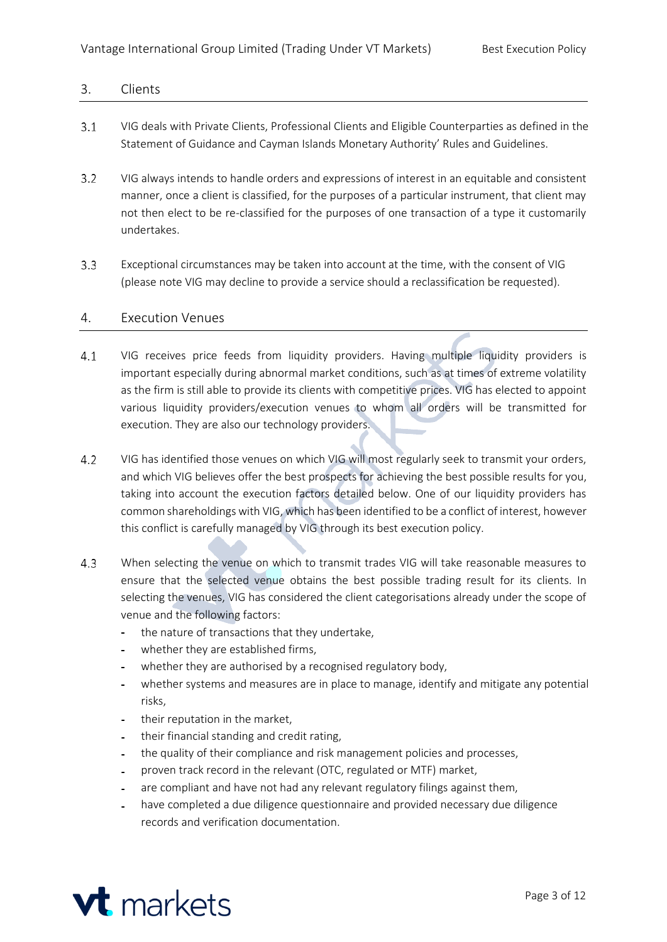# <span id="page-3-0"></span>3. Clients

- $3.1$ VIG deals with Private Clients, Professional Clients and Eligible Counterparties as defined in the Statement of Guidance and Cayman Islands Monetary Authority' Rules and Guidelines.
- $3.2$ VIG always intends to handle orders and expressions of interest in an equitable and consistent manner, once a client is classified, for the purposes of a particular instrument, that client may not then elect to be re-classified for the purposes of one transaction of a type it customarily undertakes.
- $3.3$ Exceptional circumstances may be taken into account at the time, with the consent of VIG (please note VIG may decline to provide a service should a reclassification be requested).

#### <span id="page-3-1"></span>4. Execution Venues

- VIG receives price feeds from liquidity providers. Having multiple liquidity providers is  $4.1$ important especially during abnormal market conditions, such as at times of extreme volatility as the firm is still able to provide its clients with competitive prices. VIG has elected to appoint various liquidity providers/execution venues to whom all orders will be transmitted for execution. They are also our technology providers.
- $4.2$ VIG has identified those venues on which VIG will most regularly seek to transmit your orders, and which VIG believes offer the best prospects for achieving the best possible results for you, taking into account the execution factors detailed below. One of our liquidity providers has common shareholdings with VIG, which has been identified to be a conflict of interest, however this conflict is carefully managed by VIG through its best execution policy.
- $4.3$ When selecting the venue on which to transmit trades VIG will take reasonable measures to ensure that the selected venue obtains the best possible trading result for its clients. In selecting the venues, VIG has considered the client categorisations already under the scope of venue and the following factors:
	- the nature of transactions that they undertake,  $\sim$
	- whether they are established firms,
	- whether they are authorised by a recognised regulatory body,
	- whether systems and measures are in place to manage, identify and mitigate any potential risks,
	- their reputation in the market,
	- their financial standing and credit rating,  $\sim$   $^{-1}$
	- the quality of their compliance and risk management policies and processes,
	- proven track record in the relevant (OTC, regulated or MTF) market,
	- are compliant and have not had any relevant regulatory filings against them,
	- have completed a due diligence questionnaire and provided necessary due diligence  $\Delta \sim 10^4$ records and verification documentation.

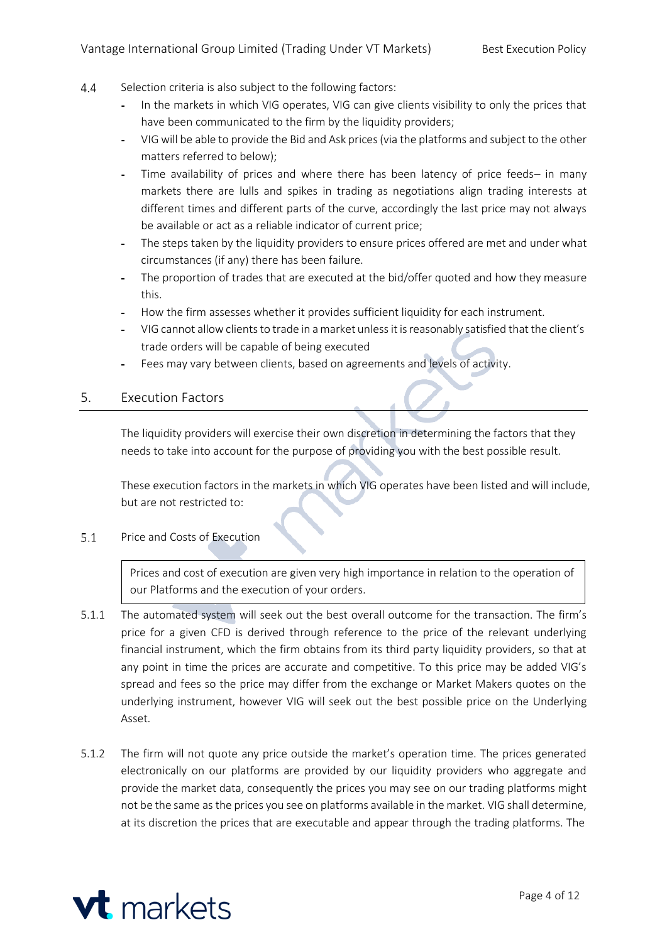- $4.4$ Selection criteria is also subject to the following factors:
	- In the markets in which VIG operates, VIG can give clients visibility to only the prices that  $\sim$ have been communicated to the firm by the liquidity providers;
	- VIG will be able to provide the Bid and Ask prices(via the platforms and subject to the other  $\equiv$ matters referred to below);
	- Time availability of prices and where there has been latency of price feeds– in many markets there are lulls and spikes in trading as negotiations align trading interests at different times and different parts of the curve, accordingly the last price may not always be available or act as a reliable indicator of current price;
	- The steps taken by the liquidity providers to ensure prices offered are met and under what circumstances (if any) there has been failure.
	- The proportion of trades that are executed at the bid/offer quoted and how they measure  $\sim$ this.
	- How the firm assesses whether it provides sufficient liquidity for each instrument.
	- VIG cannot allowclientsto trade in amarket unlessit isreasonably satisfied that the client's trade orders will be capable of being executed
	- Fees may vary between clients, based on agreements and levels of activity.

# <span id="page-4-0"></span>5. Execution Factors

The liquidity providers will exercise their own discretion in determining the factors that they needs to take into account for the purpose of providing you with the best possible result.

These execution factors in the markets in which VIG operates have been listed and will include, but are not restricted to:

 $5.1$ Price and Costs of Execution

> Prices and cost of execution are given very high importance in relation to the operation of our Platforms and the execution of your orders.

- 5.1.1 The automated system will seek out the best overall outcome for the transaction. The firm's price for a given CFD is derived through reference to the price of the relevant underlying financial instrument, which the firm obtains from its third party liquidity providers, so that at any point in time the prices are accurate and competitive. To this price may be added VIG's spread and fees so the price may differ from the exchange or Market Makers quotes on the underlying instrument, however VIG will seek out the best possible price on the Underlying Asset.
- 5.1.2 The firm will not quote any price outside the market's operation time. The prices generated electronically on our platforms are provided by our liquidity providers who aggregate and provide the market data, consequently the prices you may see on our trading platforms might not be the same asthe prices you see on platforms available in the market. VIG shall determine, at its discretion the prices that are executable and appear through the trading platforms. The

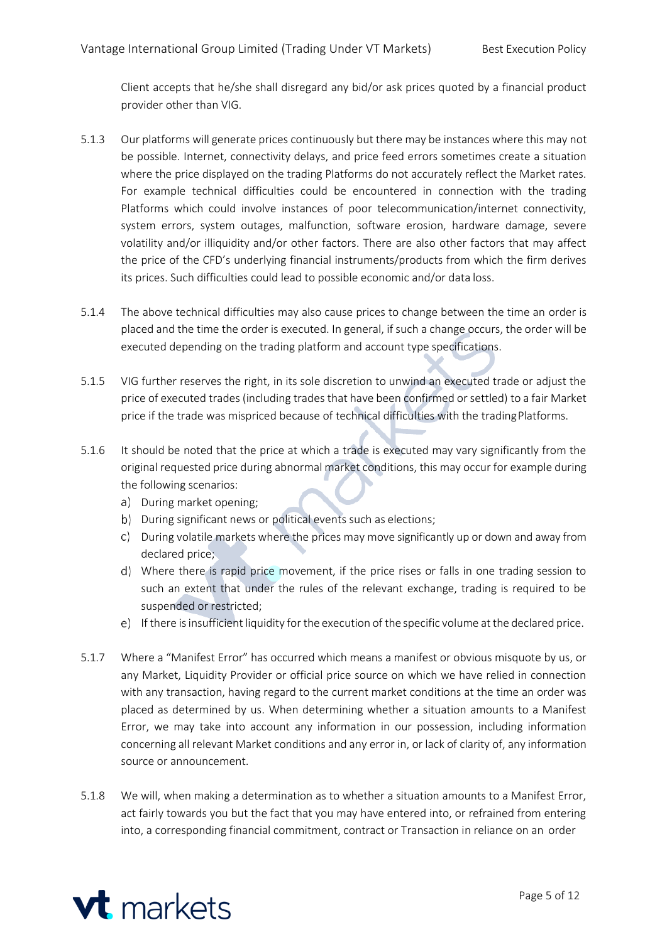Client accepts that he/she shall disregard any bid/or ask prices quoted by a financial product provider other than VIG.

- 5.1.3 Our platforms will generate prices continuously but there may be instances where this may not be possible. Internet, connectivity delays, and price feed errors sometimes create a situation where the price displayed on the trading Platforms do not accurately reflect the Market rates. For example technical difficulties could be encountered in connection with the trading Platforms which could involve instances of poor telecommunication/internet connectivity, system errors, system outages, malfunction, software erosion, hardware damage, severe volatility and/or illiquidity and/or other factors. There are also other factors that may affect the price of the CFD's underlying financial instruments/products from which the firm derives its prices. Such difficulties could lead to possible economic and/or data loss.
- 5.1.4 The above technical difficulties may also cause prices to change between the time an order is placed and the time the order is executed. In general, if such a change occurs, the order will be executed depending on the trading platform and account type specifications.
- 5.1.5 VIG further reserves the right, in its sole discretion to unwind an executed trade or adjust the price of executed trades (including trades that have been confirmed orsettled) to a fair Market price if the trade was mispriced because of technical difficulties with the tradingPlatforms.
- 5.1.6 It should be noted that the price at which a trade is executed may vary significantly from the original requested price during abnormal market conditions, this may occur for example during the following scenarios:
	- a) During market opening;
	- b) During significant news or political events such as elections;
	- During volatile markets where the prices may move significantly up or down and away from declared price;
	- Where there is rapid price movement, if the price rises or falls in one trading session to such an extent that under the rules of the relevant exchange, trading is required to be suspended or restricted;
	- If there isinsufficient liquidity forthe execution of the specific volume atthe declared price.
- 5.1.7 Where a "Manifest Error" has occurred which means a manifest or obvious misquote by us, or any Market, Liquidity Provider or official price source on which we have relied in connection with any transaction, having regard to the current market conditions at the time an order was placed as determined by us. When determining whether a situation amounts to a Manifest Error, we may take into account any information in our possession, including information concerning all relevant Market conditions and any error in, or lack of clarity of, any information source or announcement.
- 5.1.8 We will, when making a determination as to whether a situation amounts to a Manifest Error, act fairly towards you but the fact that you may have entered into, or refrained from entering into, a corresponding financial commitment, contract or Transaction in reliance on an order

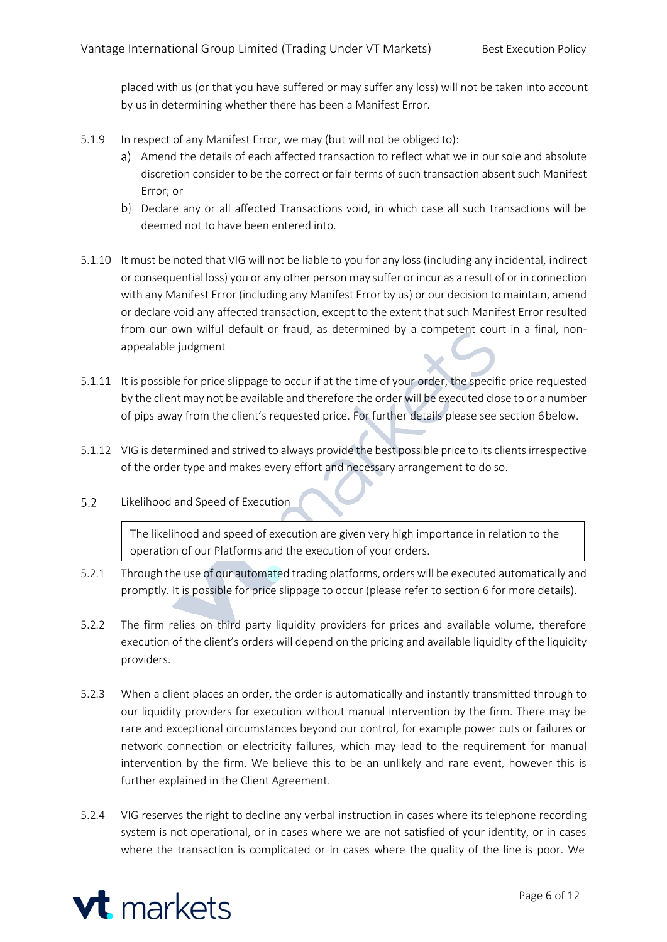placed with us (or that you have suffered or may suffer any loss) will not be taken into account by us in determining whether there has been a Manifest Error.

- 5.1.9 In respect of any Manifest Error, we may (but will not be obliged to):
	- Amend the details of each affected transaction to reflect what we in our sole and absolute discretion consider to be the correct or fair terms of such transaction absent such Manifest Error; or
	- b) Declare any or all affected Transactions void, in which case all such transactions will be deemed not to have been entered into.
- 5.1.10 It must be noted that VIG will not be liable to you for any loss (including any incidental, indirect or consequential loss) you or any other person may suffer or incur as a result of or in connection with any Manifest Error (including any Manifest Error by us) or our decision to maintain, amend or declare void any affected transaction, except to the extent that such Manifest Error resulted from our own wilful default or fraud, as determined by a competent court in a final, nonappealable judgment
- 5.1.11 It is possible for price slippage to occur if at the time of your order, the specific price requested by the client may not be available and therefore the order will be executed close to or a number of pips away from the client's requested price. For further details please see section 6below.
- 5.1.12 VIG is determined and strived to always provide the best possible price to its clients irrespective of the order type and makes every effort and necessary arrangement to do so.
- $5.2$ Likelihood and Speed of Execution

The likelihood and speed of execution are given very high importance in relation to the operation of our Platforms and the execution of your orders.

- 5.2.1 Through the use of our automated trading platforms, orders will be executed automatically and promptly. It is possible for price slippage to occur (please refer to section 6 for more details).
- 5.2.2 The firm relies on third party liquidity providers for prices and available volume, therefore execution of the client's orders will depend on the pricing and available liquidity of the liquidity providers.
- 5.2.3 When a client places an order, the order is automatically and instantly transmitted through to our liquidity providers for execution without manual intervention by the firm. There may be rare and exceptional circumstances beyond our control, for example power cuts or failures or network connection or electricity failures, which may lead to the requirement for manual intervention by the firm. We believe this to be an unlikely and rare event, however this is further explained in the Client Agreement.
- 5.2.4 VIG reserves the right to decline any verbal instruction in cases where its telephone recording system is not operational, or in cases where we are not satisfied of your identity, or in cases where the transaction is complicated or in cases where the quality of the line is poor. We

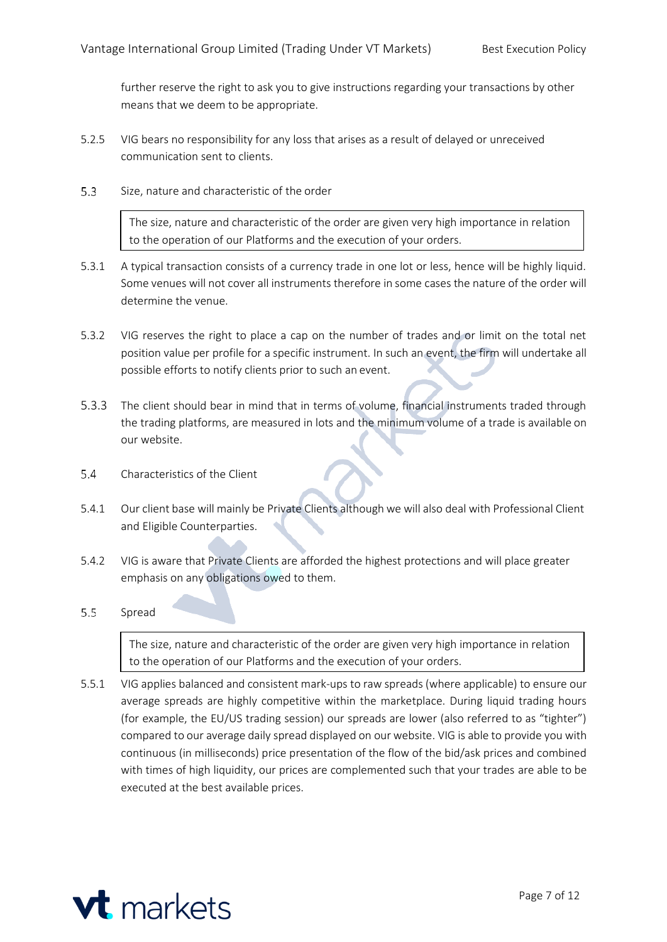further reserve the right to ask you to give instructions regarding your transactions by other means that we deem to be appropriate.

- 5.2.5 VIG bears no responsibility for any loss that arises as a result of delayed or unreceived communication sent to clients.
- $5.3$ Size, nature and characteristic of the order

The size, nature and characteristic of the order are given very high importance in relation to the operation of our Platforms and the execution of your orders.

- 5.3.1 A typical transaction consists of a currency trade in one lot or less, hence will be highly liquid. Some venues will not cover all instruments therefore in some cases the nature of the order will determine the venue.
- 5.3.2 VIG reserves the right to place a cap on the number of trades and or limit on the total net position value per profile for a specific instrument. In such an event, the firm will undertake all possible efforts to notify clients prior to such an event.
- 5.3.3 The client should bear in mind that in terms of volume, financial instruments traded through the trading platforms, are measured in lots and the minimum volume of a trade is available on our website.
- $5.4$ Characteristics of the Client
- 5.4.1 Our client base will mainly be Private Clients although we will also deal with Professional Client and Eligible Counterparties.
- 5.4.2 VIG is aware that Private Clients are afforded the highest protections and will place greater emphasis on any obligations owed to them.

#### $5.5$ Spread

The size, nature and characteristic of the order are given very high importance in relation to the operation of our Platforms and the execution of your orders.

5.5.1 VIG applies balanced and consistent mark-ups to raw spreads (where applicable) to ensure our average spreads are highly competitive within the marketplace. During liquid trading hours (for example, the EU/US trading session) our spreads are lower (also referred to as "tighter") compared to our average daily spread displayed on our website. VIG is able to provide you with continuous (in milliseconds) price presentation of the flow of the bid/ask prices and combined with times of high liquidity, our prices are complemented such that your trades are able to be executed at the best available prices.

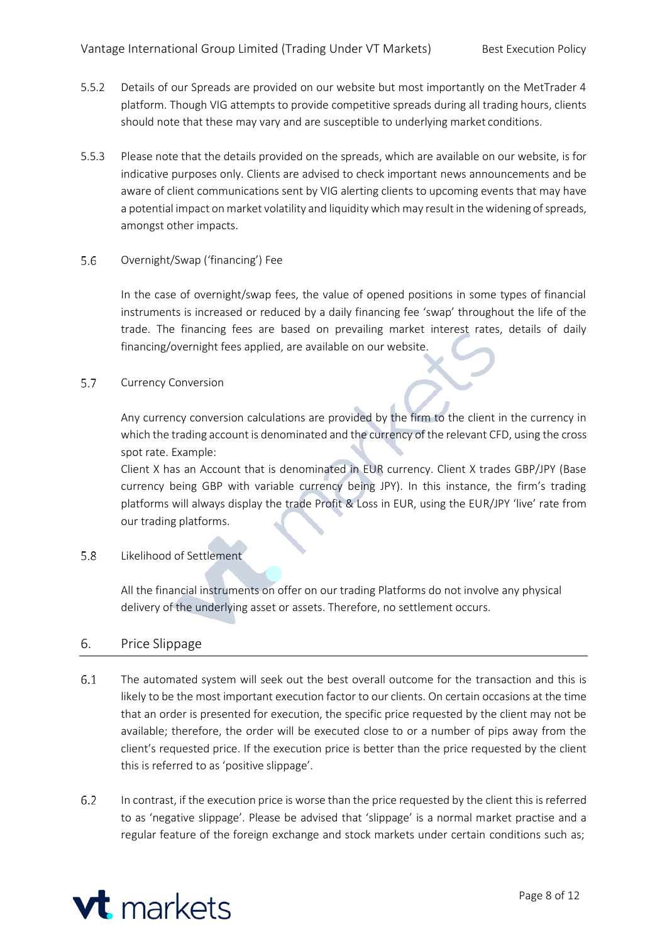- 5.5.2 Details of our Spreads are provided on our website but most importantly on the MetTrader 4 platform. Though VIG attempts to provide competitive spreads during all trading hours, clients should note that these may vary and are susceptible to underlying market conditions.
- 5.5.3 Please note that the details provided on the spreads, which are available on our website, is for indicative purposes only. Clients are advised to check important news announcements and be aware of client communications sent by VIG alerting clients to upcoming events that may have a potential impact on market volatility and liquidity which may result in the widening of spreads, amongst other impacts.
- 5.6 Overnight/Swap ('financing') Fee

In the case of overnight/swap fees, the value of opened positions in some types of financial instruments is increased or reduced by a daily financing fee 'swap' throughout the life of the trade. The financing fees are based on prevailing market interest rates, details of daily financing/overnight fees applied, are available on our website.

 $5.7$ Currency Conversion

> Any currency conversion calculations are provided by the firm to the client in the currency in which the trading account is denominated and the currency of the relevant CFD, using the cross spot rate. Example:

> Client X has an Account that is denominated in EUR currency. Client X trades GBP/JPY (Base currency being GBP with variable currency being JPY). In this instance, the firm's trading platforms will always display the trade Profit & Loss in EUR, using the EUR/JPY 'live' rate from our trading platforms.

 $5.8$ Likelihood of Settlement

> All the financial instruments on offer on our trading Platforms do not involve any physical delivery of the underlying asset or assets. Therefore, no settlement occurs.

# <span id="page-8-0"></span>6. Price Slippage

- $6.1$ The automated system will seek out the best overall outcome for the transaction and this is likely to be the most important execution factor to our clients. On certain occasions at the time that an order is presented for execution, the specific price requested by the client may not be available; therefore, the order will be executed close to or a number of pips away from the client's requested price. If the execution price is better than the price requested by the client this is referred to as 'positive slippage'.
- $6.2$ In contrast, if the execution price is worse than the price requested by the client this is referred to as 'negative slippage'. Please be advised that 'slippage' is a normal market practise and a regular feature of the foreign exchange and stock markets under certain conditions such as;

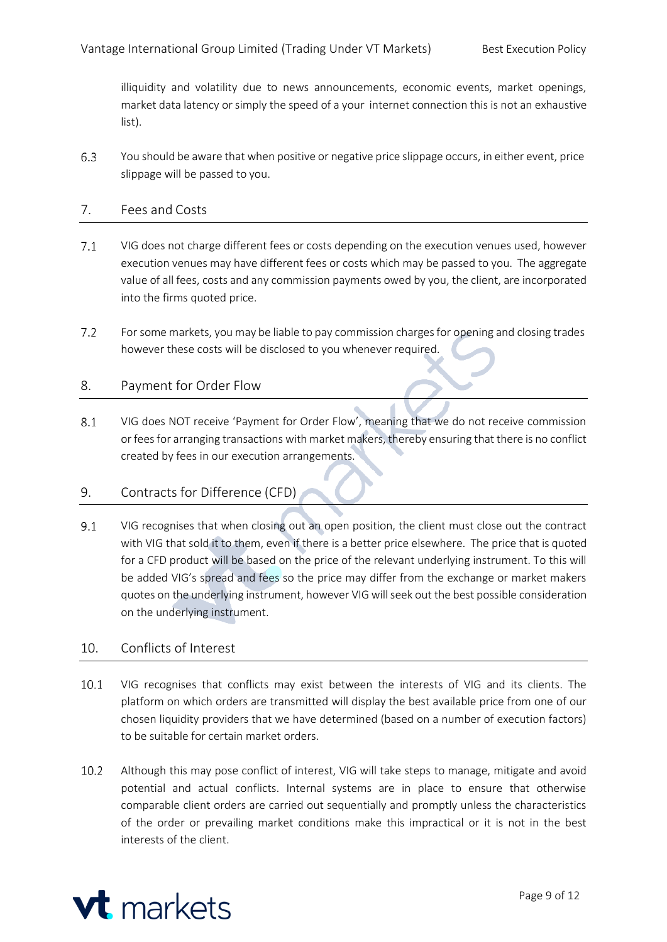illiquidity and volatility due to news announcements, economic events, market openings, market data latency or simply the speed of a your internet connection this is not an exhaustive list).

6.3 You should be aware that when positive or negative price slippage occurs, in either event, price slippage will be passed to you.

# <span id="page-9-0"></span>7. Fees and Costs

- $7.1$ VIG does not charge different fees or costs depending on the execution venues used, however execution venues may have different fees or costs which may be passed to you. The aggregate value of all fees, costs and any commission payments owed by you, the client, are incorporated into the firms quoted price.
- $7.2$ For some markets, you may be liable to pay commission charges for opening and closing trades however these costs will be disclosed to you whenever required.

# <span id="page-9-1"></span>8. Payment for Order Flow

8.1 VIG does NOT receive 'Payment for Order Flow', meaning that we do not receive commission or feesfor arranging transactions with market makers, thereby ensuring that there is no conflict created by fees in our execution arrangements.

# <span id="page-9-2"></span>9. Contracts for Difference (CFD)

 $9.1$ VIG recognises that when closing out an open position, the client must close out the contract with VIG that sold it to them, even if there is a better price elsewhere. The price that is quoted for a CFD product will be based on the price of the relevant underlying instrument. To this will be added VIG's spread and fees so the price may differ from the exchange or market makers quotes on the underlying instrument, however VIG willseek out the best possible consideration on the underlying instrument.

# <span id="page-9-3"></span>10. Conflicts of Interest

- $10.1$ VIG recognises that conflicts may exist between the interests of VIG and its clients. The platform on which orders are transmitted will display the best available price from one of our chosen liquidity providers that we have determined (based on a number of execution factors) to be suitable for certain market orders.
- $10.2$ Although this may pose conflict of interest, VIG will take steps to manage, mitigate and avoid potential and actual conflicts. Internal systems are in place to ensure that otherwise comparable client orders are carried out sequentially and promptly unless the characteristics of the order or prevailing market conditions make this impractical or it is not in the best interests of the client.

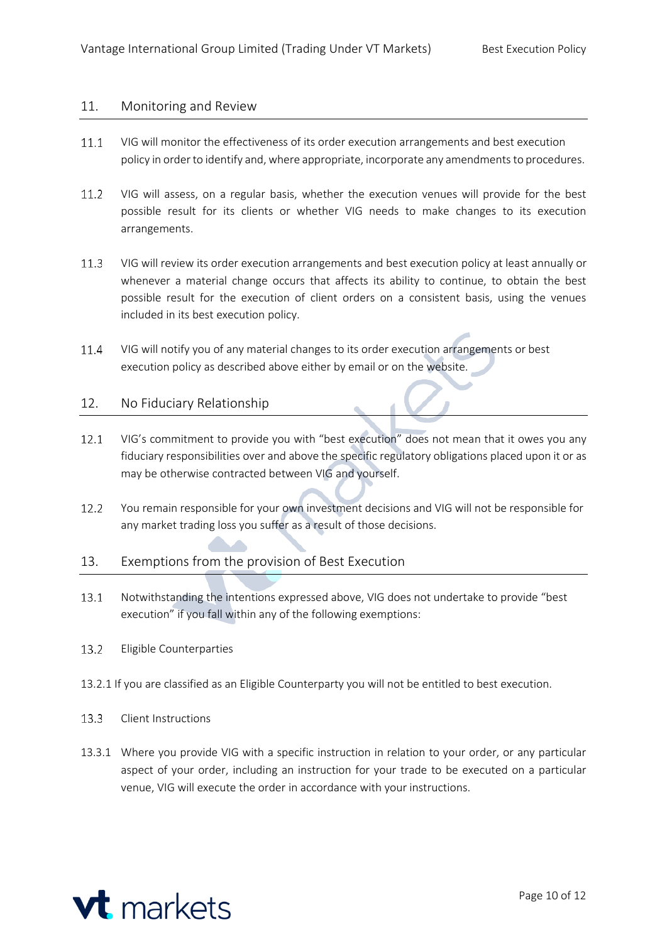#### <span id="page-10-0"></span>11. Monitoring and Review

- $11.1$ VIG will monitor the effectiveness of its order execution arrangements and best execution policy in order to identify and, where appropriate, incorporate any amendments to procedures.
- $11.2$ VIG will assess, on a regular basis, whether the execution venues will provide for the best possible result for its clients or whether VIG needs to make changes to its execution arrangements.
- $11.3$ VIG will review its order execution arrangements and best execution policy at least annually or whenever a material change occurs that affects its ability to continue, to obtain the best possible result for the execution of client orders on a consistent basis, using the venues included in its best execution policy.
- 11.4 VIG will notify you of any material changes to its order execution arrangements or best execution policy as described above either by email or on the website.

# <span id="page-10-1"></span>12. No Fiduciary Relationship

- VIG's commitment to provide you with "best execution" does not mean that it owes you any  $12.1$ fiduciary responsibilities over and above the specific regulatory obligations placed upon it or as may be otherwise contracted between VIG and yourself.
- $12.2$ You remain responsible for your own investment decisions and VIG will not be responsible for any market trading loss you suffer as a result of those decisions.

# <span id="page-10-2"></span>13. Exemptions from the provision of Best Execution

- $13.1$ Notwithstanding the intentions expressed above, VIG does not undertake to provide "best execution" if you fall within any of the following exemptions:
- $13.2$ Eligible Counterparties
- 13.2.1 If you are classified as an Eligible Counterparty you will not be entitled to best execution.
- $13.3$ Client Instructions
- 13.3.1 Where you provide VIG with a specific instruction in relation to your order, or any particular aspect of your order, including an instruction for your trade to be executed on a particular venue, VIG will execute the order in accordance with your instructions.

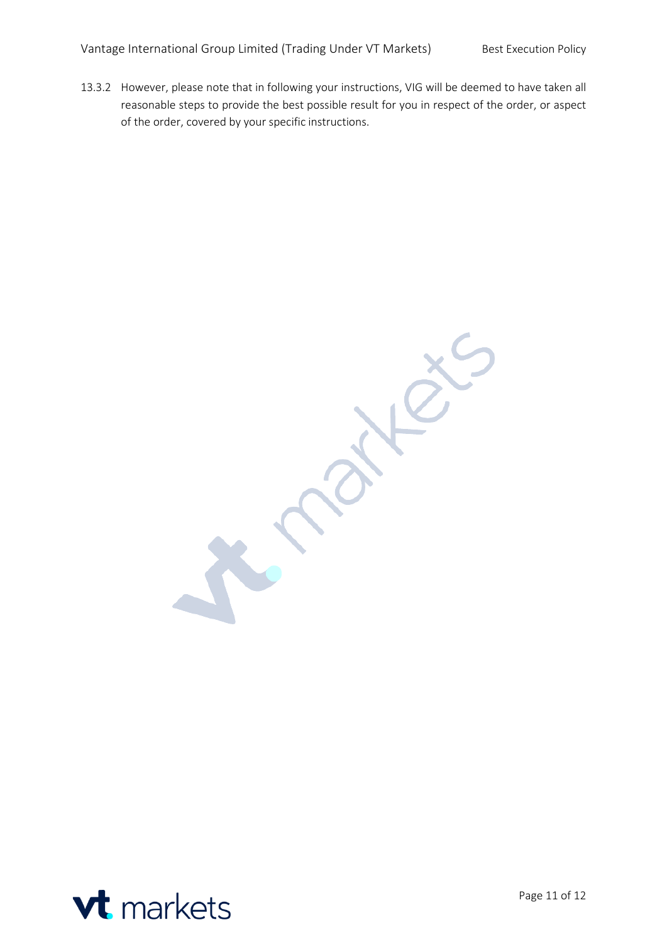13.3.2 However, please note that in following your instructions, VIG will be deemed to have taken all reasonable steps to provide the best possible result for you in respect of the order, or aspect of the order, covered by your specific instructions.